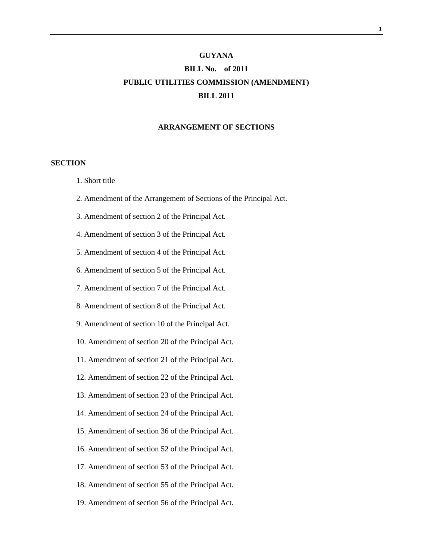# **GUYANA BILL No. of 2011 PUBLIC UTILITIES COMMISSION (AMENDMENT) BILL 2011**

#### **ARRANGEMENT OF SECTIONS**

### **SECTION**

- 1. Short title
- 2. Amendment of the Arrangement of Sections of the Principal Act.
- 3. Amendment of section 2 of the Principal Act.
- 4. Amendment of section 3 of the Principal Act.
- 5. Amendment of section 4 of the Principal Act.
- 6. Amendment of section 5 of the Principal Act.
- 7. Amendment of section 7 of the Principal Act.
- 8. Amendment of section 8 of the Principal Act.
- 9. Amendment of section 10 of the Principal Act.
- 10. Amendment of section 20 of the Principal Act.
- 11. Amendment of section 21 of the Principal Act.
- 12. Amendment of section 22 of the Principal Act.
- 13. Amendment of section 23 of the Principal Act.
- 14. Amendment of section 24 of the Principal Act.
- 15. Amendment of section 36 of the Principal Act.
- 16. Amendment of section 52 of the Principal Act.
- 17. Amendment of section 53 of the Principal Act.
- 18. Amendment of section 55 of the Principal Act.
- 19. Amendment of section 56 of the Principal Act.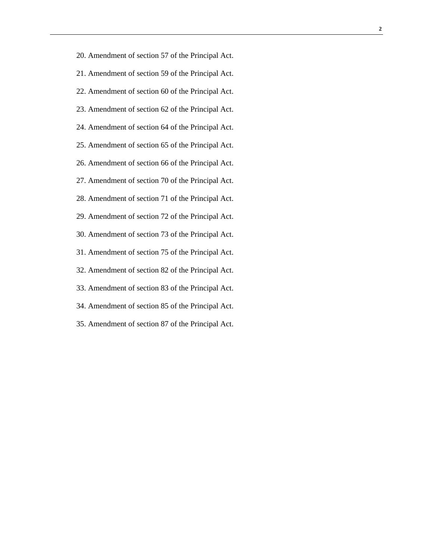20. Amendment of section 57 of the Principal Act. 21. Amendment of section 59 of the Principal Act. 22. Amendment of section 60 of the Principal Act. 23. Amendment of section 62 of the Principal Act. 24. Amendment of section 64 of the Principal Act. 25. Amendment of section 65 of the Principal Act. 26. Amendment of section 66 of the Principal Act. 27. Amendment of section 70 of the Principal Act. 28. Amendment of section 71 of the Principal Act. 29. Amendment of section 72 of the Principal Act. 30. Amendment of section 73 of the Principal Act. 31. Amendment of section 75 of the Principal Act. 32. Amendment of section 82 of the Principal Act. 33. Amendment of section 83 of the Principal Act. 34. Amendment of section 85 of the Principal Act. 35. Amendment of section 87 of the Principal Act.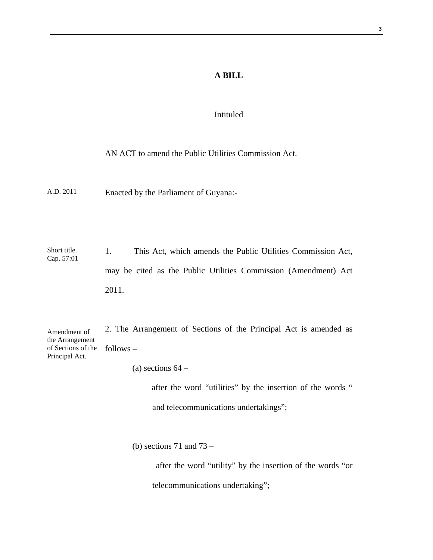## **A BILL**

### Intituled

# AN ACT to amend the Public Utilities Commission Act.

A.D. 2011 Enacted by the Parliament of Guyana:-

Short title. Cap. 57:01 1. This Act, which amends the Public Utilities Commission Act, may be cited as the Public Utilities Commission (Amendment) Act 2011.

2. The Arrangement of Sections of the Principal Act is amended as follows – Amendment of the Arrangement of Sections of the Principal Act.

(a) sections  $64 -$ 

 after the word "utilities" by the insertion of the words " and telecommunications undertakings";

(b) sections 71 and  $73 -$ 

 after the word "utility" by the insertion of the words "or telecommunications undertaking";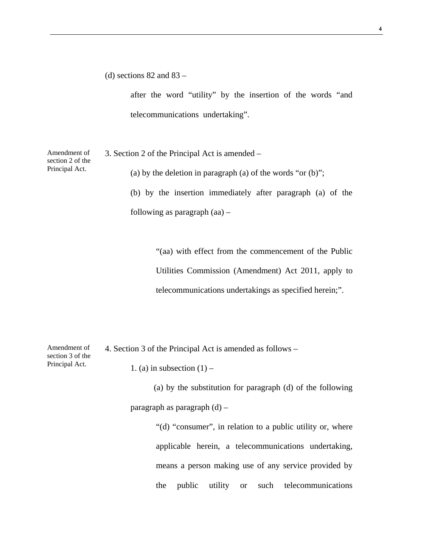(d) sections  $82$  and  $83 -$ 

after the word "utility" by the insertion of the words "and telecommunications undertaking".

Amendment of section 2 of the Principal Act.

3. Section 2 of the Principal Act is amended –

(a) by the deletion in paragraph (a) of the words "or  $(b)$ ";

(b) by the insertion immediately after paragraph (a) of the following as paragraph (aa) –

> "(aa) with effect from the commencement of the Public Utilities Commission (Amendment) Act 2011, apply to telecommunications undertakings as specified herein;".

| Amendment of     | 4. Section 3 of the Principal Act is amended as follows – |  |
|------------------|-----------------------------------------------------------|--|
| section 3 of the |                                                           |  |
| Principal Act.   | 1. (a) in subsection $(1)$ –                              |  |

 (a) by the substitution for paragraph (d) of the following paragraph as paragraph (d) –

> "(d) "consumer", in relation to a public utility or, where applicable herein, a telecommunications undertaking, means a person making use of any service provided by the public utility or such telecommunications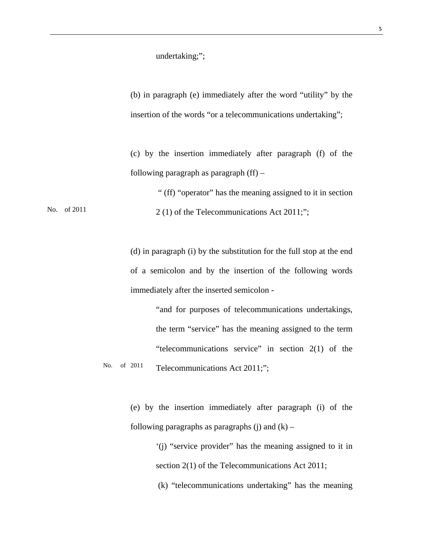undertaking;";

(b) in paragraph (e) immediately after the word "utility" by the insertion of the words "or a telecommunications undertaking";

(c) by the insertion immediately after paragraph (f) of the following paragraph as paragraph (ff) –

No. of 2011 " (ff) "operator" has the meaning assigned to it in section 2 (1) of the Telecommunications Act 2011;";

> (d) in paragraph (i) by the substitution for the full stop at the end of a semicolon and by the insertion of the following words immediately after the inserted semicolon -

"and for purposes of telecommunications undertakings, the term "service" has the meaning assigned to the term "telecommunications service" in section 2(1) of the Telecommunications Act 2011;"; No. of 2011

> (e) by the insertion immediately after paragraph (i) of the following paragraphs as paragraphs (j) and  $(k)$  –

> > '(j) "service provider" has the meaning assigned to it in section 2(1) of the Telecommunications Act 2011;

(k) "telecommunications undertaking" has the meaning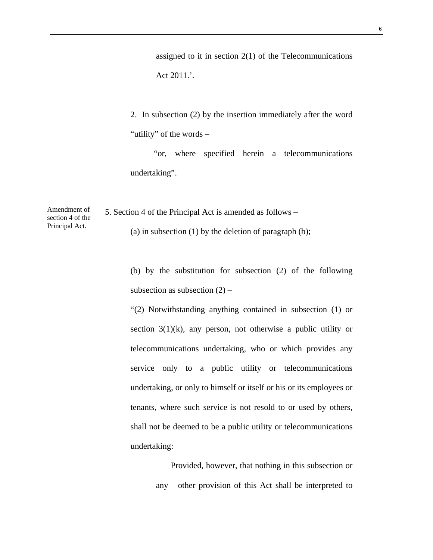assigned to it in section  $2(1)$  of the Telecommunications Act 2011.'.

2. In subsection (2) by the insertion immediately after the word "utility" of the words –

 "or, where specified herein a telecommunications undertaking".

5. Section 4 of the Principal Act is amended as follows – (a) in subsection  $(1)$  by the deletion of paragraph  $(b)$ ;

> (b) by the substitution for subsection (2) of the following subsection as subsection  $(2)$  –

> "(2) Notwithstanding anything contained in subsection (1) or section 3(1)(k), any person, not otherwise a public utility or telecommunications undertaking, who or which provides any service only to a public utility or telecommunications undertaking, or only to himself or itself or his or its employees or tenants, where such service is not resold to or used by others, shall not be deemed to be a public utility or telecommunications undertaking:

> > Provided, however, that nothing in this subsection or any other provision of this Act shall be interpreted to

Amendment of section 4 of the Principal Act.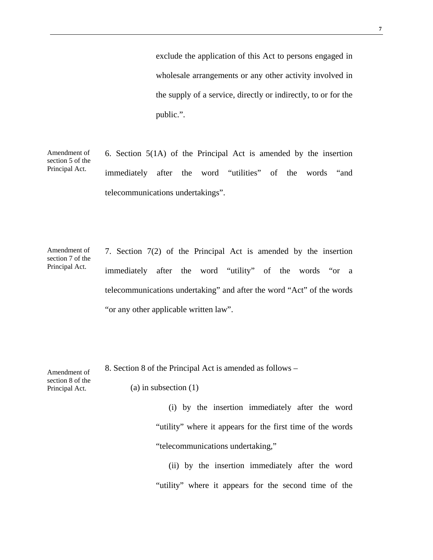exclude the application of this Act to persons engaged in wholesale arrangements or any other activity involved in the supply of a service, directly or indirectly, to or for the public.".

Amendment of section 5 of the Principal Act. 6. Section 5(1A) of the Principal Act is amended by the insertion immediately after the word "utilities" of the words "and telecommunications undertakings".

Amendment of section 7 of the Principal Act.

7. Section 7(2) of the Principal Act is amended by the insertion immediately after the word "utility" of the words "or a telecommunications undertaking" and after the word "Act" of the words "or any other applicable written law".

8. Section 8 of the Principal Act is amended as follows –

Amendment of section 8 of the Principal Act.

(a) in subsection (1)

 (i) by the insertion immediately after the word "utility" where it appears for the first time of the words "telecommunications undertaking,"

 (ii) by the insertion immediately after the word "utility" where it appears for the second time of the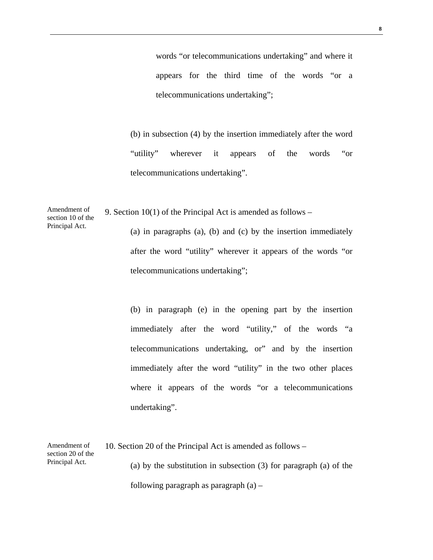words "or telecommunications undertaking" and where it appears for the third time of the words "or a telecommunications undertaking";

(b) in subsection (4) by the insertion immediately after the word "utility" wherever it appears of the words "or telecommunications undertaking".

section 10 of the 9. Section 10(1) of the Principal Act is amended as follows –

Amendment of

Principal Act.

(a) in paragraphs (a), (b) and (c) by the insertion immediately after the word "utility" wherever it appears of the words "or telecommunications undertaking";

(b) in paragraph (e) in the opening part by the insertion immediately after the word "utility," of the words "a telecommunications undertaking, or" and by the insertion immediately after the word "utility" in the two other places where it appears of the words "or a telecommunications undertaking".

Amendment of section 20 of the Principal Act. 10. Section 20 of the Principal Act is amended as follows – (a) by the substitution in subsection (3) for paragraph (a) of the following paragraph as paragraph  $(a)$  –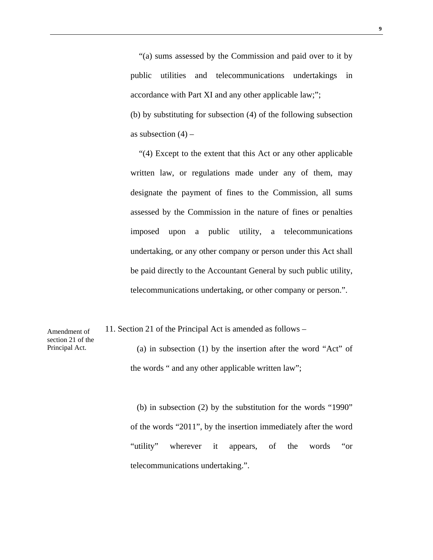"(a) sums assessed by the Commission and paid over to it by public utilities and telecommunications undertakings in accordance with Part XI and any other applicable law;"; (b) by substituting for subsection (4) of the following subsection as subsection  $(4)$  –

 "(4) Except to the extent that this Act or any other applicable written law, or regulations made under any of them, may designate the payment of fines to the Commission, all sums assessed by the Commission in the nature of fines or penalties imposed upon a public utility, a telecommunications undertaking, or any other company or person under this Act shall be paid directly to the Accountant General by such public utility, telecommunications undertaking, or other company or person.".

11. Section 21 of the Principal Act is amended as follows –

Amendment of section 21 of the Principal Act.

 (a) in subsection (1) by the insertion after the word "Act" of the words " and any other applicable written law";

 (b) in subsection (2) by the substitution for the words "1990" of the words "2011", by the insertion immediately after the word "utility" wherever it appears, of the words "or telecommunications undertaking.".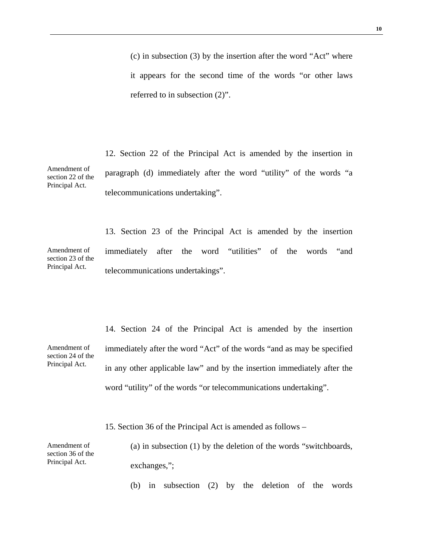(c) in subsection (3) by the insertion after the word "Act" where it appears for the second time of the words "or other laws referred to in subsection (2)".

Amendment of section 22 of the Principal Act. 12. Section 22 of the Principal Act is amended by the insertion in paragraph (d) immediately after the word "utility" of the words "a telecommunications undertaking".

Amendment of section 23 of the Principal Act. 13. Section 23 of the Principal Act is amended by the insertion immediately after the word "utilities" of the words "and telecommunications undertakings".

14. Section 24 of the Principal Act is amended by the insertion immediately after the word "Act" of the words "and as may be specified in any other applicable law" and by the insertion immediately after the word "utility" of the words "or telecommunications undertaking".

15. Section 36 of the Principal Act is amended as follows –

Amendment of section 36 of the Principal Act.

(a) in subsection (1) by the deletion of the words "switchboards, exchanges,";

(b) in subsection (2) by the deletion of the words

Amendment of section 24 of the Principal Act.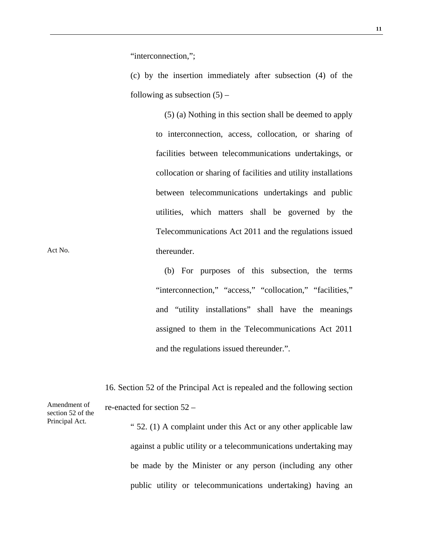"interconnection,";

(c) by the insertion immediately after subsection (4) of the following as subsection  $(5)$  –

> (5) (a) Nothing in this section shall be deemed to apply to interconnection, access, collocation, or sharing of facilities between telecommunications undertakings, or collocation or sharing of facilities and utility installations between telecommunications undertakings and public utilities, which matters shall be governed by the Telecommunications Act 2011 and the regulations issued thereunder.

> (b) For purposes of this subsection, the terms "interconnection," "access," "collocation," "facilities," and "utility installations" shall have the meanings assigned to them in the Telecommunications Act 2011 and the regulations issued thereunder.".

16. Section 52 of the Principal Act is repealed and the following section re-enacted for section 52 –

> " 52. (1) A complaint under this Act or any other applicable law against a public utility or a telecommunications undertaking may be made by the Minister or any person (including any other public utility or telecommunications undertaking) having an

Act No.

Amendment of section 52 of the Principal Act.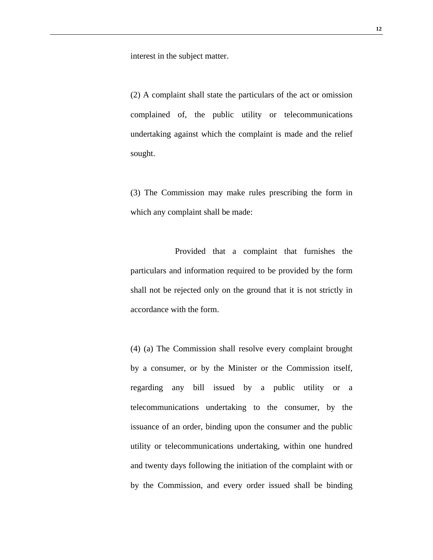interest in the subject matter.

(2) A complaint shall state the particulars of the act or omission complained of, the public utility or telecommunications undertaking against which the complaint is made and the relief sought.

(3) The Commission may make rules prescribing the form in which any complaint shall be made:

 Provided that a complaint that furnishes the particulars and information required to be provided by the form shall not be rejected only on the ground that it is not strictly in accordance with the form.

(4) (a) The Commission shall resolve every complaint brought by a consumer, or by the Minister or the Commission itself, regarding any bill issued by a public utility or a telecommunications undertaking to the consumer, by the issuance of an order, binding upon the consumer and the public utility or telecommunications undertaking, within one hundred and twenty days following the initiation of the complaint with or by the Commission, and every order issued shall be binding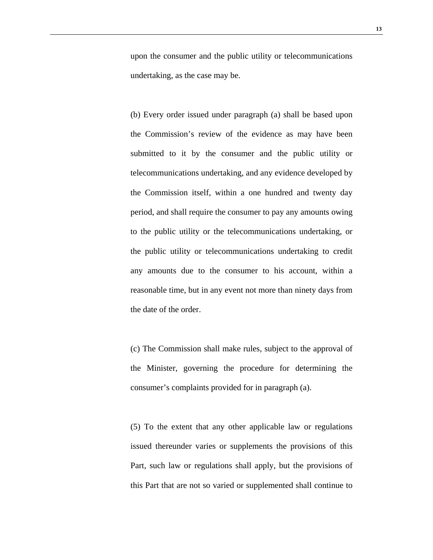upon the consumer and the public utility or telecommunications undertaking, as the case may be.

(b) Every order issued under paragraph (a) shall be based upon the Commission's review of the evidence as may have been submitted to it by the consumer and the public utility or telecommunications undertaking, and any evidence developed by the Commission itself, within a one hundred and twenty day period, and shall require the consumer to pay any amounts owing to the public utility or the telecommunications undertaking, or the public utility or telecommunications undertaking to credit any amounts due to the consumer to his account, within a reasonable time, but in any event not more than ninety days from the date of the order.

(c) The Commission shall make rules, subject to the approval of the Minister, governing the procedure for determining the consumer's complaints provided for in paragraph (a).

(5) To the extent that any other applicable law or regulations issued thereunder varies or supplements the provisions of this Part, such law or regulations shall apply, but the provisions of this Part that are not so varied or supplemented shall continue to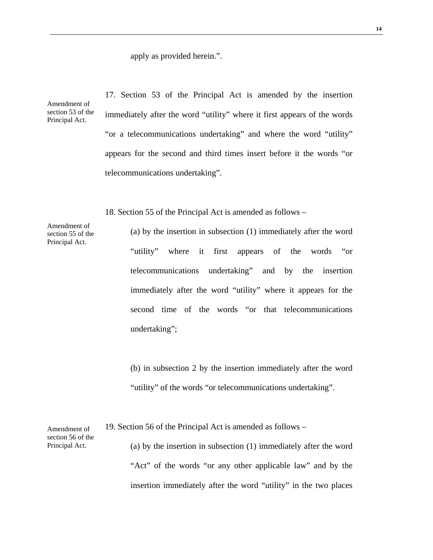apply as provided herein.".

telecommunications undertaking".

Amendment of section 53 of the Principal Act. 17. Section 53 of the Principal Act is amended by the insertion immediately after the word "utility" where it first appears of the words "or a telecommunications undertaking" and where the word "utility" appears for the second and third times insert before it the words "or

18. Section 55 of the Principal Act is amended as follows –

(a) by the insertion in subsection (1) immediately after the word "utility" where it first appears of the words "or telecommunications undertaking" and by the insertion immediately after the word "utility" where it appears for the second time of the words "or that telecommunications undertaking";

(b) in subsection 2 by the insertion immediately after the word "utility" of the words "or telecommunications undertaking".

(a) by the insertion in subsection (1) immediately after the word "Act" of the words "or any other applicable law" and by the insertion immediately after the word "utility" in the two places

19. Section 56 of the Principal Act is amended as follows –

Amendment of section 56 of the Principal Act.

Amendment of section 55 of the Principal Act.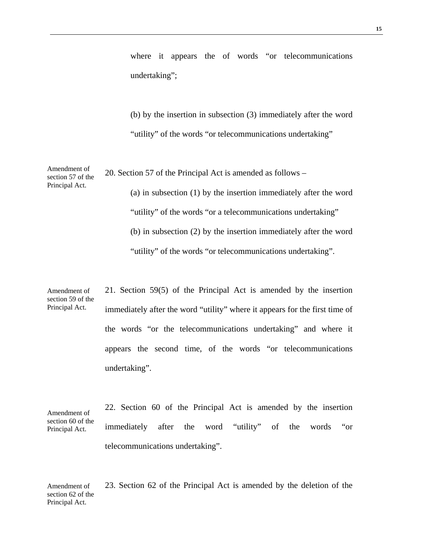where it appears the of words "or telecommunications" undertaking";

(b) by the insertion in subsection (3) immediately after the word "utility" of the words "or telecommunications undertaking"

Amendment of section 57 of the 20. Section 57 of the Principal Act is amended as follows –

Principal Act.

(a) in subsection (1) by the insertion immediately after the word "utility" of the words "or a telecommunications undertaking" (b) in subsection (2) by the insertion immediately after the word "utility" of the words "or telecommunications undertaking".

Amendment of section 59 of the Principal Act. 21. Section 59(5) of the Principal Act is amended by the insertion immediately after the word "utility" where it appears for the first time of the words "or the telecommunications undertaking" and where it appears the second time, of the words "or telecommunications undertaking".

Amendment of section 60 of the Principal Act. 22. Section 60 of the Principal Act is amended by the insertion immediately after the word "utility" of the words "or telecommunications undertaking".

Amendment of section 62 of the Principal Act. 23. Section 62 of the Principal Act is amended by the deletion of the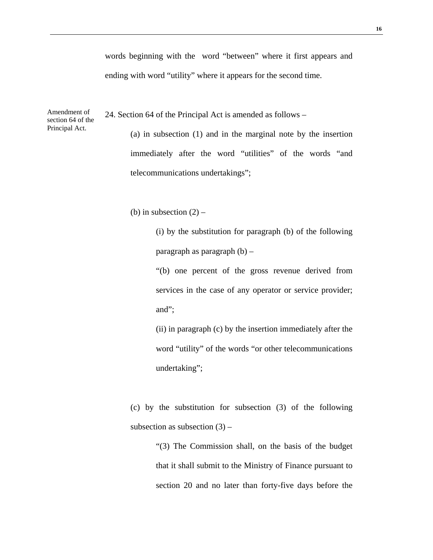words beginning with the word "between" where it first appears and ending with word "utility" where it appears for the second time.

Amendment of section 64 of the 24. Section 64 of the Principal Act is amended as follows –

> (a) in subsection (1) and in the marginal note by the insertion immediately after the word "utilities" of the words "and telecommunications undertakings";

(b) in subsection  $(2)$  –

Principal Act.

(i) by the substitution for paragraph (b) of the following paragraph as paragraph (b) –

"(b) one percent of the gross revenue derived from services in the case of any operator or service provider; and";

(ii) in paragraph (c) by the insertion immediately after the word "utility" of the words "or other telecommunications undertaking";

(c) by the substitution for subsection (3) of the following subsection as subsection  $(3)$  –

> "(3) The Commission shall, on the basis of the budget that it shall submit to the Ministry of Finance pursuant to section 20 and no later than forty-five days before the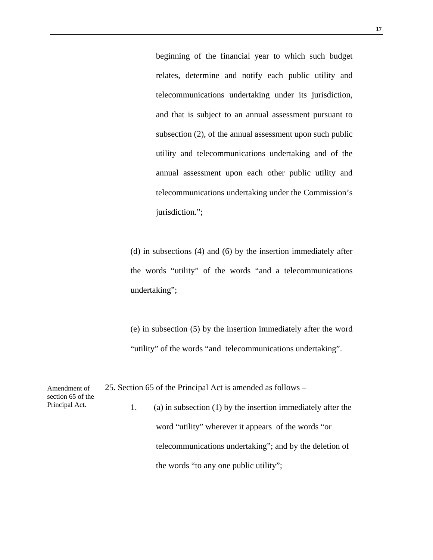beginning of the financial year to which such budget relates, determine and notify each public utility and telecommunications undertaking under its jurisdiction, and that is subject to an annual assessment pursuant to subsection (2), of the annual assessment upon such public utility and telecommunications undertaking and of the annual assessment upon each other public utility and telecommunications undertaking under the Commission's jurisdiction.";

(d) in subsections (4) and (6) by the insertion immediately after the words "utility" of the words "and a telecommunications undertaking";

(e) in subsection (5) by the insertion immediately after the word "utility" of the words "and telecommunications undertaking".

Amendment of section 65 of the Principal Act. 25. Section 65 of the Principal Act is amended as follows – 1. (a) in subsection (1) by the insertion immediately after the word "utility" wherever it appears of the words "or telecommunications undertaking"; and by the deletion of the words "to any one public utility";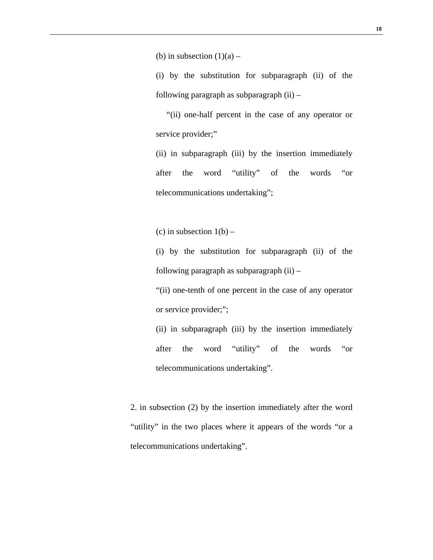(b) in subsection  $(1)(a)$  –

(i) by the substitution for subparagraph (ii) of the following paragraph as subparagraph (ii) –

 "(ii) one-half percent in the case of any operator or service provider;"

(ii) in subparagraph (iii) by the insertion immediately after the word "utility" of the words "or telecommunications undertaking";

(c) in subsection  $1(b)$  –

(i) by the substitution for subparagraph (ii) of the following paragraph as subparagraph (ii) –

"(ii) one-tenth of one percent in the case of any operator or service provider;";

(ii) in subparagraph (iii) by the insertion immediately after the word "utility" of the words "or telecommunications undertaking".

2. in subsection (2) by the insertion immediately after the word "utility" in the two places where it appears of the words "or a telecommunications undertaking".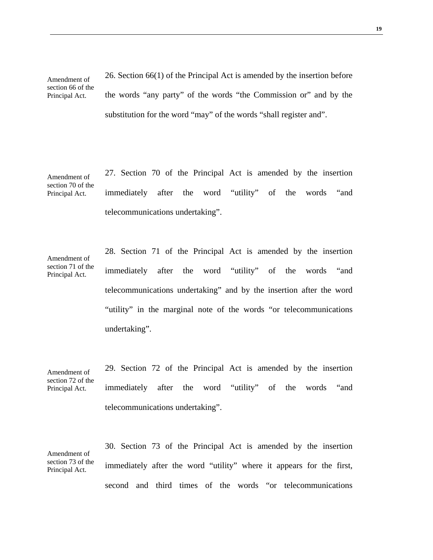Amendment of section 66 of the Principal Act. 26. Section 66(1) of the Principal Act is amended by the insertion before the words "any party" of the words "the Commission or" and by the

substitution for the word "may" of the words "shall register and".

Amendment of section 70 of the Principal Act. 27. Section 70 of the Principal Act is amended by the insertion immediately after the word "utility" of the words "and telecommunications undertaking".

Amendment of

Principal Act.

section 71 of the 28. Section 71 of the Principal Act is amended by the insertion immediately after the word "utility" of the words "and telecommunications undertaking" and by the insertion after the word "utility" in the marginal note of the words "or telecommunications undertaking".

Amendment of section 72 of the Principal Act. 29. Section 72 of the Principal Act is amended by the insertion immediately after the word "utility" of the words "and telecommunications undertaking".

Amendment of section 73 of the Principal Act. 30. Section 73 of the Principal Act is amended by the insertion immediately after the word "utility" where it appears for the first, second and third times of the words "or telecommunications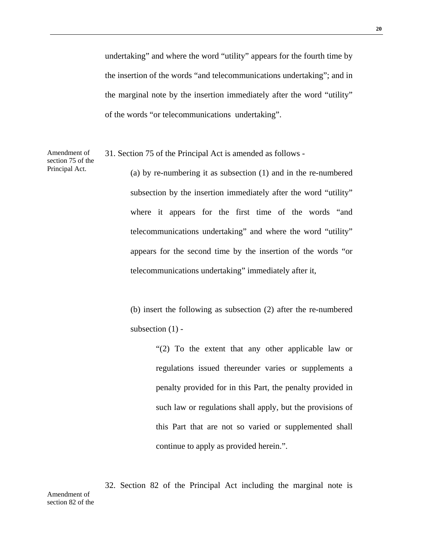undertaking" and where the word "utility" appears for the fourth time by the insertion of the words "and telecommunications undertaking"; and in the marginal note by the insertion immediately after the word "utility" of the words "or telecommunications undertaking".

Amendment of 31. Section 75 of the Principal Act is amended as follows -

section 75 of the Principal Act.

(a) by re-numbering it as subsection (1) and in the re-numbered subsection by the insertion immediately after the word "utility" where it appears for the first time of the words "and telecommunications undertaking" and where the word "utility" appears for the second time by the insertion of the words "or telecommunications undertaking" immediately after it,

(b) insert the following as subsection (2) after the re-numbered subsection  $(1)$  -

> "(2) To the extent that any other applicable law or regulations issued thereunder varies or supplements a penalty provided for in this Part, the penalty provided in such law or regulations shall apply, but the provisions of this Part that are not so varied or supplemented shall continue to apply as provided herein.".

32. Section 82 of the Principal Act including the marginal note is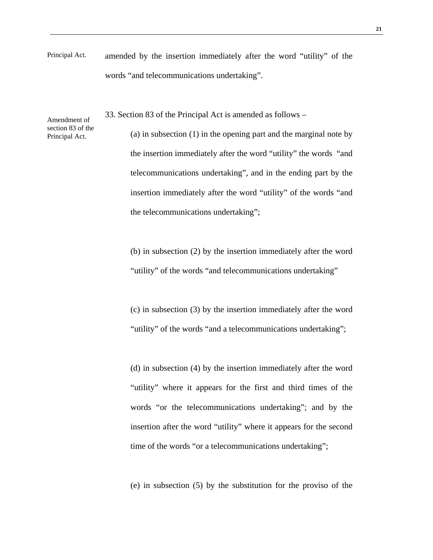Principal Act. amended by the insertion immediately after the word "utility" of the words "and telecommunications undertaking".

33. Section 83 of the Principal Act is amended as follows –

Amendment of section 83 of the Principal Act.

(a) in subsection (1) in the opening part and the marginal note by the insertion immediately after the word "utility" the words "and telecommunications undertaking", and in the ending part by the insertion immediately after the word "utility" of the words "and the telecommunications undertaking";

(b) in subsection (2) by the insertion immediately after the word "utility" of the words "and telecommunications undertaking"

(c) in subsection (3) by the insertion immediately after the word "utility" of the words "and a telecommunications undertaking";

(d) in subsection (4) by the insertion immediately after the word "utility" where it appears for the first and third times of the words "or the telecommunications undertaking"; and by the insertion after the word "utility" where it appears for the second time of the words "or a telecommunications undertaking";

(e) in subsection (5) by the substitution for the proviso of the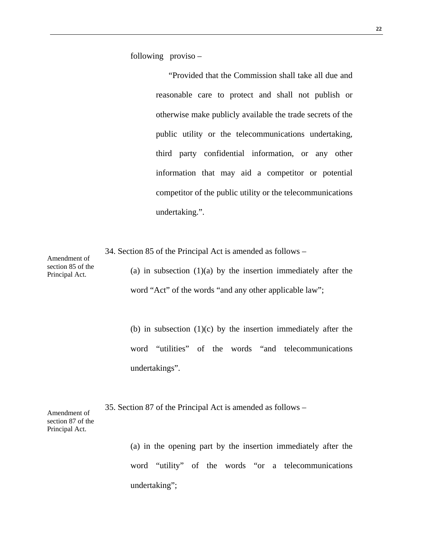following proviso –

 "Provided that the Commission shall take all due and reasonable care to protect and shall not publish or otherwise make publicly available the trade secrets of the public utility or the telecommunications undertaking, third party confidential information, or any other information that may aid a competitor or potential competitor of the public utility or the telecommunications undertaking.".

34. Section 85 of the Principal Act is amended as follows –

Amendment of section 85 of the Principal Act.

(a) in subsection  $(1)(a)$  by the insertion immediately after the word "Act" of the words "and any other applicable law";

(b) in subsection  $(1)(c)$  by the insertion immediately after the word "utilities" of the words "and telecommunications undertakings".

Amendment of section 87 of the Principal Act. 35. Section 87 of the Principal Act is amended as follows –

> (a) in the opening part by the insertion immediately after the word "utility" of the words "or a telecommunications undertaking";